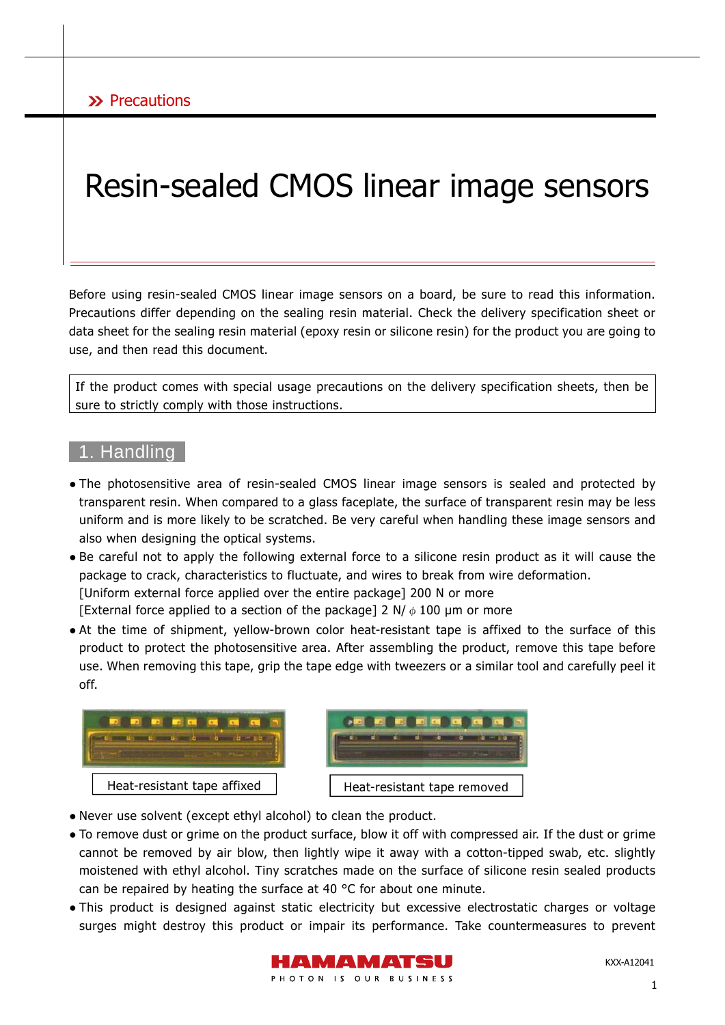# Resin-sealed CMOS linear image sensors

Before using resin-sealed CMOS linear image sensors on a board, be sure to read this information. Precautions differ depending on the sealing resin material. Check the delivery specification sheet or data sheet for the sealing resin material (epoxy resin or silicone resin) for the product you are going to use, and then read this document.

If the product comes with special usage precautions on the delivery specification sheets, then be sure to strictly comply with those instructions.

### 1. Handling

- The photosensitive area of resin-sealed CMOS linear image sensors is sealed and protected by transparent resin. When compared to a glass faceplate, the surface of transparent resin may be less uniform and is more likely to be scratched. Be very careful when handling these image sensors and also when designing the optical systems.
- Be careful not to apply the following external force to a silicone resin product as it will cause the package to crack, characteristics to fluctuate, and wires to break from wire deformation. [Uniform external force applied over the entire package] 200 N or more [External force applied to a section of the package] 2 N/ $\phi$  100 µm or more
- At the time of shipment, yellow-brown color heat-resistant tape is affixed to the surface of this product to protect the photosensitive area. After assembling the product, remove this tape before use. When removing this tape, grip the tape edge with tweezers or a similar tool and carefully peel it off.





- Never use solvent (except ethyl alcohol) to clean the product.
- To remove dust or grime on the product surface, blow it off with compressed air. If the dust or grime cannot be removed by air blow, then lightly wipe it away with a cotton-tipped swab, etc. slightly moistened with ethyl alcohol. Tiny scratches made on the surface of silicone resin sealed products can be repaired by heating the surface at 40  $\degree$ C for about one minute.
- This product is designed against static electricity but excessive electrostatic charges or voltage surges might destroy this product or impair its performance. Take countermeasures to prevent

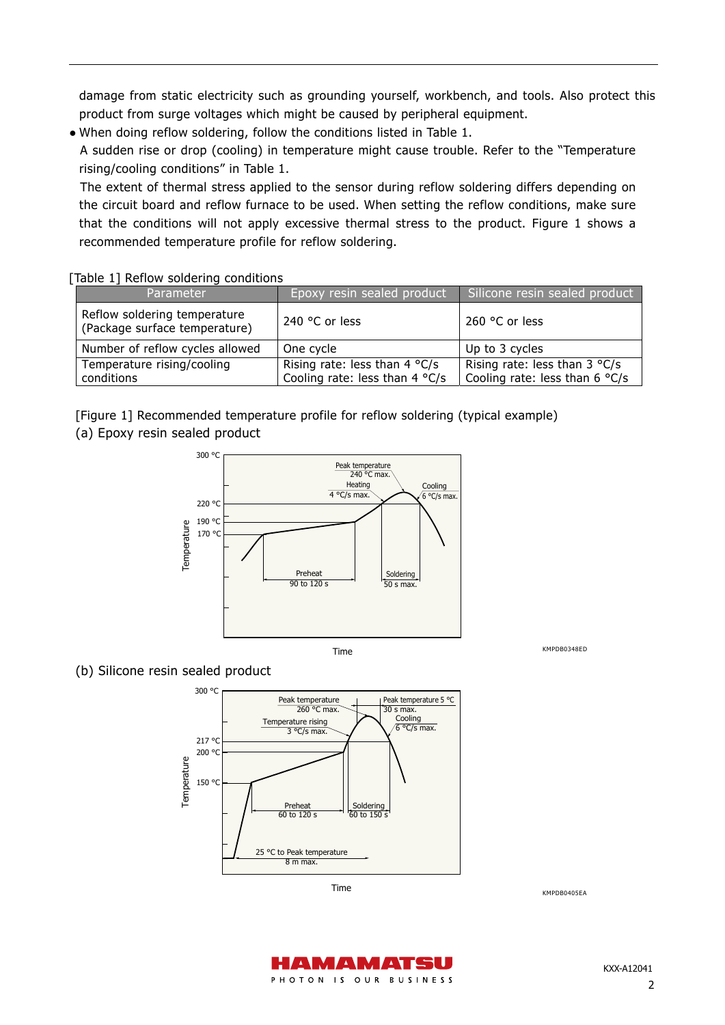damage from static electricity such as grounding yourself, workbench, and tools. Also protect this product from surge voltages which might be caused by peripheral equipment.

● When doing reflow soldering, follow the conditions listed in Table 1.

A sudden rise or drop (cooling) in temperature might cause trouble. Refer to the "Temperature rising/cooling conditions" in Table 1.

The extent of thermal stress applied to the sensor during reflow soldering differs depending on the circuit board and reflow furnace to be used. When setting the reflow conditions, make sure that the conditions will not apply excessive thermal stress to the product. Figure 1 shows a recommended temperature profile for reflow soldering.

| <b>Parameter</b>                                              | Epoxy resin sealed product                                                 | Silicone resin sealed product                                              |
|---------------------------------------------------------------|----------------------------------------------------------------------------|----------------------------------------------------------------------------|
| Reflow soldering temperature<br>(Package surface temperature) | 240 $^{\circ}$ C or less                                                   | 260 °C or less                                                             |
| Number of reflow cycles allowed                               | One cycle                                                                  | Up to 3 cycles                                                             |
| Temperature rising/cooling<br>conditions                      | Rising rate: less than 4 $\degree$ C/s<br>Cooling rate: less than $4 °C/s$ | Rising rate: less than $3 °C/s$<br>Cooling rate: less than 6 $\degree$ C/s |

#### [Table 1] Reflow soldering conditions

[Figure 1] Recommended temperature profile for reflow soldering (typical example)

(a) Epoxy resin sealed product



Time

KMPDB0348ED

#### (b) Silicone resin sealed product



KMPDB0405EA



KXX-A12041